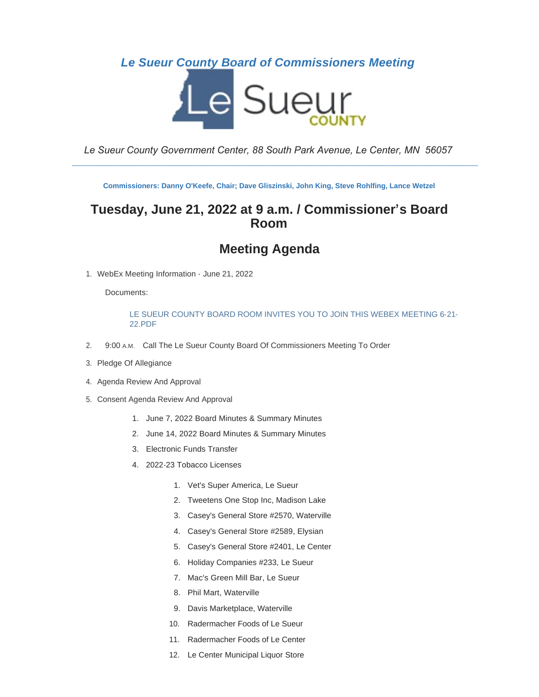## *Le Sueur County Board of Commissioners Meeting*



*Le Sueur County Government Center, 88 South Park Avenue, Le Center, MN 56057*

\_\_\_\_\_\_\_\_\_\_\_\_\_\_\_\_\_\_\_\_\_\_\_\_\_\_\_\_\_\_\_\_\_\_\_\_\_\_\_\_\_\_\_\_\_\_\_\_\_\_\_\_\_\_\_\_\_\_\_\_\_\_\_\_\_\_\_\_\_\_\_\_\_\_\_\_\_\_\_\_\_\_\_\_\_\_\_\_\_\_\_\_\_\_

**Commissioners: Danny O'Keefe, Chair; Dave Gliszinski, John King, Steve Rohlfing, Lance Wetzel**

## **Tuesday, June 21, 2022 at 9 a.m. / Commissioner's Board Room**

# **Meeting Agenda**

1. WebEx Meeting Information - June 21, 2022

Documents:

## [LE SUEUR COUNTY BOARD ROOM INVITES YOU TO JOIN THIS WEBEX MEETING 6-21-](https://www.co.le-sueur.mn.us/AgendaCenter/ViewFile/Item/3571?fileID=4197) 22.PDF

- 2. 9:00 A.M. Call The Le Sueur County Board Of Commissioners Meeting To Order
- 3. Pledge Of Allegiance
- 4. Agenda Review And Approval
- 5. Consent Agenda Review And Approval
	- 1. June 7, 2022 Board Minutes & Summary Minutes
	- 2. June 14, 2022 Board Minutes & Summary Minutes
	- 3. Electronic Funds Transfer
	- 4. 2022-23 Tobacco Licenses
		- 1. Vet's Super America, Le Sueur
		- 2. Tweetens One Stop Inc, Madison Lake
		- 3. Casey's General Store #2570, Waterville
		- 4. Casey's General Store #2589, Elysian
		- 5. Casey's General Store #2401, Le Center
		- 6. Holiday Companies #233, Le Sueur
		- 7. Mac's Green Mill Bar, Le Sueur
		- 8. Phil Mart, Waterville
		- 9. Davis Marketplace, Waterville
		- 10. Radermacher Foods of Le Sueur
		- 11. Radermacher Foods of Le Center
		- 12. Le Center Municipal Liquor Store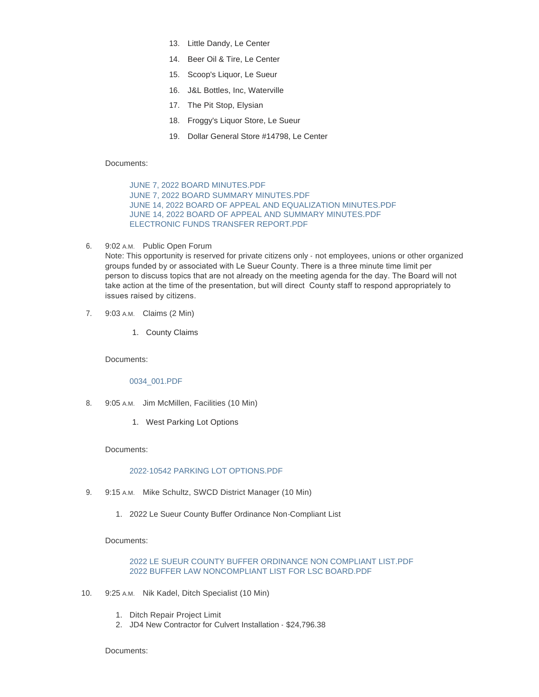- 13. Little Dandy, Le Center
- 14. Beer Oil & Tire, Le Center
- 15. Scoop's Liquor, Le Sueur
- 16. J&L Bottles, Inc, Waterville
- 17. The Pit Stop, Elysian
- 18. Froggy's Liquor Store, Le Sueur
- 19. Dollar General Store #14798, Le Center

#### Documents:

[JUNE 7, 2022 BOARD MINUTES.PDF](https://www.co.le-sueur.mn.us/AgendaCenter/ViewFile/Item/3282?fileID=4431) [JUNE 7, 2022 BOARD SUMMARY MINUTES.PDF](https://www.co.le-sueur.mn.us/AgendaCenter/ViewFile/Item/3282?fileID=4433) [JUNE 14, 2022 BOARD OF APPEAL AND EQUALIZATION MINUTES.PDF](https://www.co.le-sueur.mn.us/AgendaCenter/ViewFile/Item/3282?fileID=4432) [JUNE 14, 2022 BOARD OF APPEAL AND SUMMARY MINUTES.PDF](https://www.co.le-sueur.mn.us/AgendaCenter/ViewFile/Item/3282?fileID=4434) [ELECTRONIC FUNDS TRANSFER REPORT.PDF](https://www.co.le-sueur.mn.us/AgendaCenter/ViewFile/Item/3282?fileID=4438)

6. 9:02 A.M. Public Open Forum

Note: This opportunity is reserved for private citizens only - not employees, unions or other organized groups funded by or associated with Le Sueur County. There is a three minute time limit per person to discuss topics that are not already on the meeting agenda for the day. The Board will not take action at the time of the presentation, but will direct County staff to respond appropriately to issues raised by citizens.

- 7. 9:03 A.M. Claims (2 Min)
	- 1. County Claims

Documents:

[0034\\_001.PDF](https://www.co.le-sueur.mn.us/AgendaCenter/ViewFile/Item/3531?fileID=4427)

- 8. 9:05 A.M. Jim McMillen, Facilities (10 Min)
	- 1. West Parking Lot Options

## Documents:

#### [2022-10542 PARKING LOT OPTIONS.PDF](https://www.co.le-sueur.mn.us/AgendaCenter/ViewFile/Item/3889?fileID=4407)

- 9. 9:15 A.M. Mike Schultz, SWCD District Manager (10 Min)
	- 1. 2022 Le Sueur County Buffer Ordinance Non-Compliant List

Documents:

## [2022 LE SUEUR COUNTY BUFFER ORDINANCE NON COMPLIANT LIST.PDF](https://www.co.le-sueur.mn.us/AgendaCenter/ViewFile/Item/3887?fileID=4406) [2022 BUFFER LAW NONCOMPLIANT LIST FOR LSC BOARD.PDF](https://www.co.le-sueur.mn.us/AgendaCenter/ViewFile/Item/3887?fileID=4411)

- 10. 9:25 A.M. Nik Kadel, Ditch Specialist (10 Min)
	- 1. Ditch Repair Project Limit
	- 2. JD4 New Contractor for Culvert Installation \$24,796.38

Documents: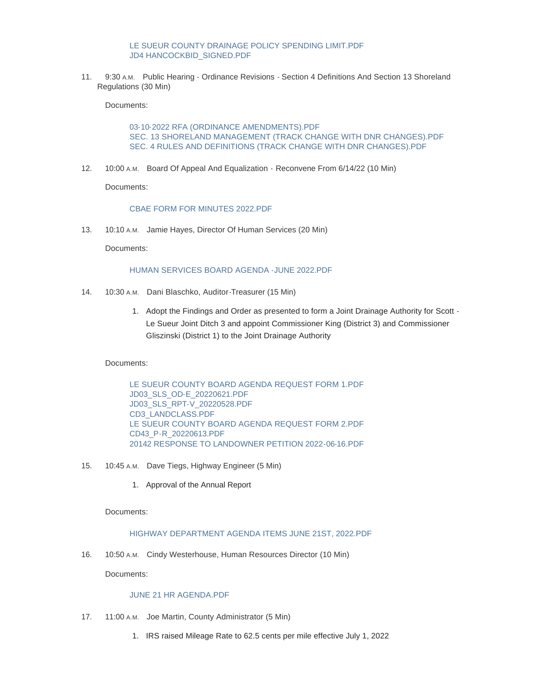## [LE SUEUR COUNTY DRAINAGE POLICY SPENDING LIMIT.PDF](https://www.co.le-sueur.mn.us/AgendaCenter/ViewFile/Item/3888?fileID=4436) [JD4 HANCOCKBID\\_SIGNED.PDF](https://www.co.le-sueur.mn.us/AgendaCenter/ViewFile/Item/3888?fileID=4437)

11. 9:30 A.M. Public Hearing - Ordinance Revisions - Section 4 Definitions And Section 13 Shoreland Regulations (30 Min)

Documents:

[03-10-2022 RFA \(ORDINANCE AMENDMENTS\).PDF](https://www.co.le-sueur.mn.us/AgendaCenter/ViewFile/Item/3825?fileID=4422) [SEC. 13 SHORELAND MANAGEMENT \(TRACK CHANGE WITH DNR CHANGES\).PDF](https://www.co.le-sueur.mn.us/AgendaCenter/ViewFile/Item/3825?fileID=4423) [SEC. 4 RULES AND DEFINITIONS \(TRACK CHANGE WITH DNR CHANGES\).PDF](https://www.co.le-sueur.mn.us/AgendaCenter/ViewFile/Item/3825?fileID=4424)

12. 10:00 A.M. Board Of Appeal And Equalization - Reconvene From 6/14/22 (10 Min)

Documents:

### [CBAE FORM FOR MINUTES 2022.PDF](https://www.co.le-sueur.mn.us/AgendaCenter/ViewFile/Item/3894?fileID=4435)

13. 10:10 A.M. Jamie Hayes, Director Of Human Services (20 Min)

Documents:

### [HUMAN SERVICES BOARD AGENDA -JUNE 2022.PDF](https://www.co.le-sueur.mn.us/AgendaCenter/ViewFile/Item/3533?fileID=4409)

- 14. 10:30 A.M. Dani Blaschko, Auditor-Treasurer (15 Min)
	- 1. Adopt the Findings and Order as presented to form a Joint Drainage Authority for Scott Le Sueur Joint Ditch 3 and appoint Commissioner King (District 3) and Commissioner Gliszinski (District 1) to the Joint Drainage Authority

Documents:

[LE SUEUR COUNTY BOARD AGENDA REQUEST FORM 1.PDF](https://www.co.le-sueur.mn.us/AgendaCenter/ViewFile/Item/3895?fileID=4418) [JD03\\_SLS\\_OD-E\\_20220621.PDF](https://www.co.le-sueur.mn.us/AgendaCenter/ViewFile/Item/3895?fileID=4419) [JD03\\_SLS\\_RPT-V\\_20220528.PDF](https://www.co.le-sueur.mn.us/AgendaCenter/ViewFile/Item/3895?fileID=4420) [CD3\\_LANDCLASS.PDF](https://www.co.le-sueur.mn.us/AgendaCenter/ViewFile/Item/3895?fileID=4421) [LE SUEUR COUNTY BOARD AGENDA REQUEST FORM 2.PDF](https://www.co.le-sueur.mn.us/AgendaCenter/ViewFile/Item/3895?fileID=4428) [CD43\\_P-R\\_20220613.PDF](https://www.co.le-sueur.mn.us/AgendaCenter/ViewFile/Item/3895?fileID=4429) [20142 RESPONSE TO LANDOWNER PETITION 2022-06-16.PDF](https://www.co.le-sueur.mn.us/AgendaCenter/ViewFile/Item/3895?fileID=4430)

- 15. 10:45 A.M. Dave Tiegs, Highway Engineer (5 Min)
	- 1. Approval of the Annual Report

Documents:

## [HIGHWAY DEPARTMENT AGENDA ITEMS JUNE 21ST, 2022.PDF](https://www.co.le-sueur.mn.us/AgendaCenter/ViewFile/Item/3896?fileID=4425)

16. 10:50 A.M. Cindy Westerhouse, Human Resources Director (10 Min)

Documents:

### [JUNE 21 HR AGENDA.PDF](https://www.co.le-sueur.mn.us/AgendaCenter/ViewFile/Item/3284?fileID=4426)

- 17. 11:00 A.M. Joe Martin, County Administrator (5 Min)
	- 1. IRS raised Mileage Rate to 62.5 cents per mile effective July 1, 2022